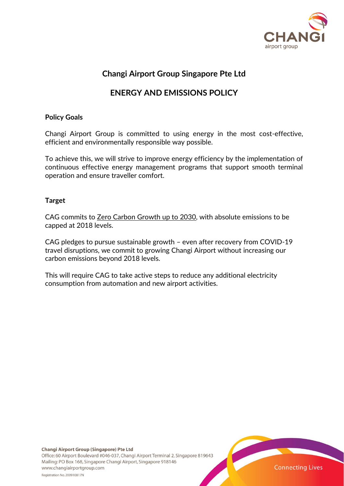

## **Changi Airport Group Singapore Pte Ltd**

# **ENERGY AND EMISSIONS POLICY**

#### **Policy Goals**

Changi Airport Group is committed to using energy in the most cost-effective, efficient and environmentally responsible way possible.

To achieve this, we will strive to improve energy efficiency by the implementation of continuous effective energy management programs that support smooth terminal operation and ensure traveller comfort.

#### **Target**

CAG commits to Zero Carbon Growth up to 2030, with absolute emissions to be capped at 2018 levels.

CAG pledges to pursue sustainable growth – even after recovery from COVID-19 travel disruptions, we commit to growing Changi Airport without increasing our carbon emissions beyond 2018 levels.

This will require CAG to take active steps to reduce any additional electricity consumption from automation and new airport activities.